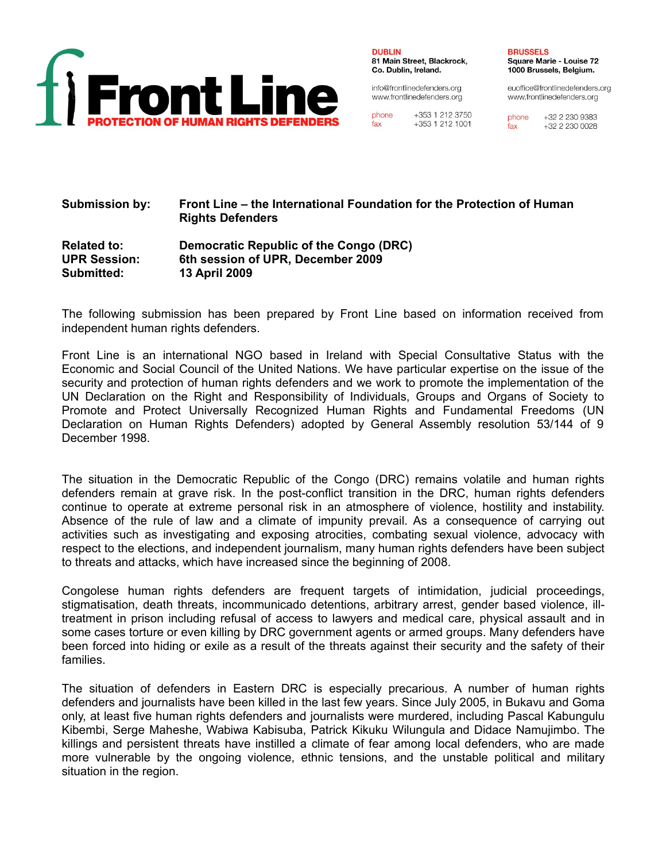

**DUBLIN** 81 Main Street, Blackrock, Co. Dublin, Ireland.

info@frontlinedefenders.org www.frontlinedefenders.org

+353 1 212 3750 phone  $fax$ +353 1 212 1001 **BRUSSELS Square Marie - Louise 72** 1000 Brussels, Belgium.

euoffice@frontlinedefenders.org www.frontlinedefenders.org

phone +32 2 230 9383 fax +32 2 230 0028

# **Submission by: Front Line – the International Foundation for the Protection of Human Rights Defenders**

### **Related to: Democratic Republic of the Congo (DRC) UPR Session: 6th session of UPR, December 2009 Submitted: 13 April 2009**

The following submission has been prepared by Front Line based on information received from independent human rights defenders.

Front Line is an international NGO based in Ireland with Special Consultative Status with the Economic and Social Council of the United Nations. We have particular expertise on the issue of the security and protection of human rights defenders and we work to promote the implementation of the UN Declaration on the Right and Responsibility of Individuals, Groups and Organs of Society to Promote and Protect Universally Recognized Human Rights and Fundamental Freedoms (UN Declaration on Human Rights Defenders) adopted by General Assembly resolution 53/144 of 9 December 1998.

The situation in the Democratic Republic of the Congo (DRC) remains volatile and human rights defenders remain at grave risk. In the post-conflict transition in the DRC, human rights defenders continue to operate at extreme personal risk in an atmosphere of violence, hostility and instability. Absence of the rule of law and a climate of impunity prevail. As a consequence of carrying out activities such as investigating and exposing atrocities, combating sexual violence, advocacy with respect to the elections, and independent journalism, many human rights defenders have been subject to threats and attacks, which have increased since the beginning of 2008.

Congolese human rights defenders are frequent targets of intimidation, judicial proceedings, stigmatisation, death threats, incommunicado detentions, arbitrary arrest, gender based violence, illtreatment in prison including refusal of access to lawyers and medical care, physical assault and in some cases torture or even killing by DRC government agents or armed groups. Many defenders have been forced into hiding or exile as a result of the threats against their security and the safety of their families.

The situation of defenders in Eastern DRC is especially precarious. A number of human rights defenders and journalists have been killed in the last few years. Since July 2005, in Bukavu and Goma only, at least five human rights defenders and journalists were murdered, including Pascal Kabungulu Kibembi, Serge Maheshe, Wabiwa Kabisuba, Patrick Kikuku Wilungula and Didace Namujimbo. The killings and persistent threats have instilled a climate of fear among local defenders, who are made more vulnerable by the ongoing violence, ethnic tensions, and the unstable political and military situation in the region.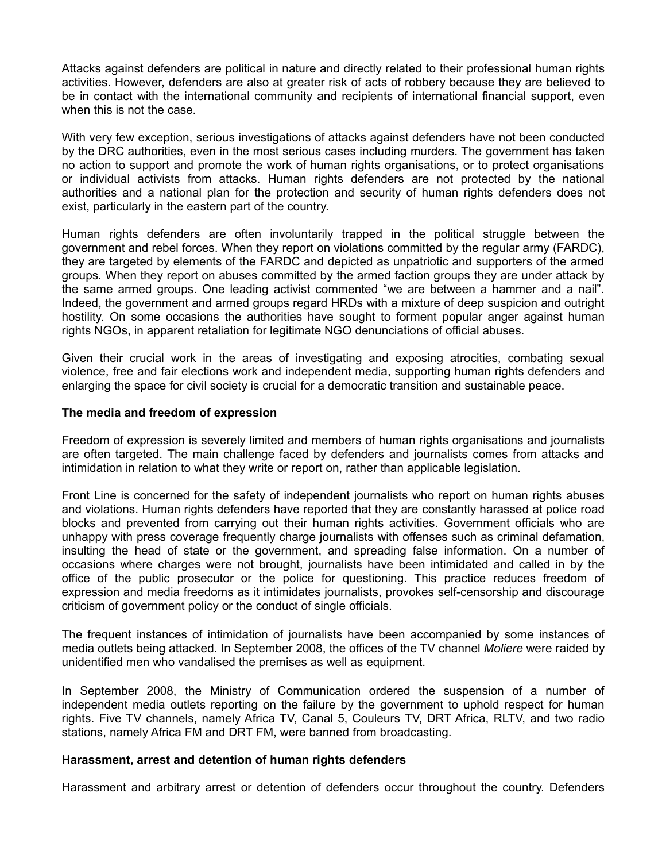Attacks against defenders are political in nature and directly related to their professional human rights activities. However, defenders are also at greater risk of acts of robbery because they are believed to be in contact with the international community and recipients of international financial support, even when this is not the case.

With very few exception, serious investigations of attacks against defenders have not been conducted by the DRC authorities, even in the most serious cases including murders. The government has taken no action to support and promote the work of human rights organisations, or to protect organisations or individual activists from attacks. Human rights defenders are not protected by the national authorities and a national plan for the protection and security of human rights defenders does not exist, particularly in the eastern part of the country.

Human rights defenders are often involuntarily trapped in the political struggle between the government and rebel forces. When they report on violations committed by the regular army (FARDC), they are targeted by elements of the FARDC and depicted as unpatriotic and supporters of the armed groups. When they report on abuses committed by the armed faction groups they are under attack by the same armed groups. One leading activist commented "we are between a hammer and a nail". Indeed, the government and armed groups regard HRDs with a mixture of deep suspicion and outright hostility. On some occasions the authorities have sought to forment popular anger against human rights NGOs, in apparent retaliation for legitimate NGO denunciations of official abuses.

Given their crucial work in the areas of investigating and exposing atrocities, combating sexual violence, free and fair elections work and independent media, supporting human rights defenders and enlarging the space for civil society is crucial for a democratic transition and sustainable peace.

### **The media and freedom of expression**

Freedom of expression is severely limited and members of human rights organisations and journalists are often targeted. The main challenge faced by defenders and journalists comes from attacks and intimidation in relation to what they write or report on, rather than applicable legislation.

Front Line is concerned for the safety of independent journalists who report on human rights abuses and violations. Human rights defenders have reported that they are constantly harassed at police road blocks and prevented from carrying out their human rights activities. Government officials who are unhappy with press coverage frequently charge journalists with offenses such as criminal defamation, insulting the head of state or the government, and spreading false information. On a number of occasions where charges were not brought, journalists have been intimidated and called in by the office of the public prosecutor or the police for questioning. This practice reduces freedom of expression and media freedoms as it intimidates journalists, provokes self-censorship and discourage criticism of government policy or the conduct of single officials.

The frequent instances of intimidation of journalists have been accompanied by some instances of media outlets being attacked. In September 2008, the offices of the TV channel *Moliere* were raided by unidentified men who vandalised the premises as well as equipment.

In September 2008, the Ministry of Communication ordered the suspension of a number of independent media outlets reporting on the failure by the government to uphold respect for human rights. Five TV channels, namely Africa TV, Canal 5, Couleurs TV, DRT Africa, RLTV, and two radio stations, namely Africa FM and DRT FM, were banned from broadcasting.

### **Harassment, arrest and detention of human rights defenders**

Harassment and arbitrary arrest or detention of defenders occur throughout the country. Defenders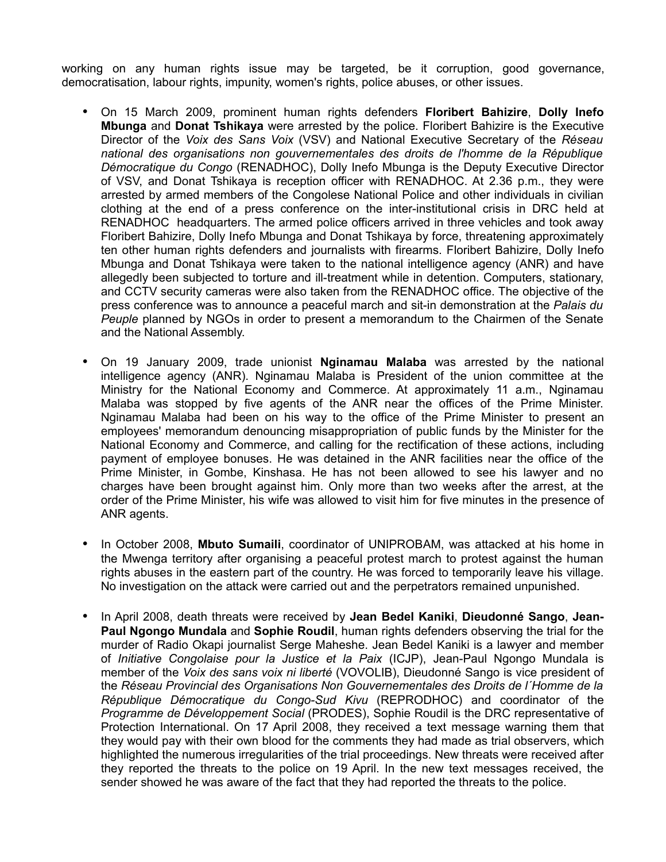working on any human rights issue may be targeted, be it corruption, good governance, democratisation, labour rights, impunity, women's rights, police abuses, or other issues.

- On 15 March 2009, prominent human rights defenders **Floribert Bahizire**, **Dolly Inefo Mbunga** and **Donat Tshikaya** were arrested by the police. Floribert Bahizire is the Executive Director of the *Voix des Sans Voix* (VSV) and National Executive Secretary of the *Réseau national des organisations non gouvernementales des droits de l'homme de la République Démocratique du Congo* (RENADHOC), Dolly Inefo Mbunga is the Deputy Executive Director of VSV, and Donat Tshikaya is reception officer with RENADHOC. At 2.36 p.m., they were arrested by armed members of the Congolese National Police and other individuals in civilian clothing at the end of a press conference on the inter-institutional crisis in DRC held at RENADHOC headquarters. The armed police officers arrived in three vehicles and took away Floribert Bahizire, Dolly Inefo Mbunga and Donat Tshikaya by force, threatening approximately ten other human rights defenders and journalists with firearms. Floribert Bahizire, Dolly Inefo Mbunga and Donat Tshikaya were taken to the national intelligence agency (ANR) and have allegedly been subjected to torture and ill-treatment while in detention. Computers, stationary, and CCTV security cameras were also taken from the RENADHOC office. The objective of the press conference was to announce a peaceful march and sit-in demonstration at the *Palais du Peuple* planned by NGOs in order to present a memorandum to the Chairmen of the Senate and the National Assembly.
- On 19 January 2009, trade unionist **Nginamau Malaba** was arrested by the national intelligence agency (ANR). Nginamau Malaba is President of the union committee at the Ministry for the National Economy and Commerce. At approximately 11 a.m., Nginamau Malaba was stopped by five agents of the ANR near the offices of the Prime Minister. Nginamau Malaba had been on his way to the office of the Prime Minister to present an employees' memorandum denouncing misappropriation of public funds by the Minister for the National Economy and Commerce, and calling for the rectification of these actions, including payment of employee bonuses. He was detained in the ANR facilities near the office of the Prime Minister, in Gombe, Kinshasa. He has not been allowed to see his lawyer and no charges have been brought against him. Only more than two weeks after the arrest, at the order of the Prime Minister, his wife was allowed to visit him for five minutes in the presence of ANR agents.
- In October 2008, **Mbuto Sumaili**, coordinator of UNIPROBAM, was attacked at his home in the Mwenga territory after organising a peaceful protest march to protest against the human rights abuses in the eastern part of the country. He was forced to temporarily leave his village. No investigation on the attack were carried out and the perpetrators remained unpunished.
- In April 2008, death threats were received by **Jean Bedel Kaniki**, **Dieudonné Sango**, **Jean-Paul Ngongo Mundala** and **Sophie Roudil**, human rights defenders observing the trial for the murder of Radio Okapi journalist Serge Maheshe. Jean Bedel Kaniki is a lawyer and member of *Initiative Congolaise pour la Justice et la Paix* (ICJP), Jean-Paul Ngongo Mundala is member of the *Voix des sans voix ni liberté* (VOVOLIB), Dieudonné Sango is vice president of the *Réseau Provincial des Organisations Non Gouvernementales des Droits de l´Homme de la République Démocratique du Congo-Sud Kivu* (REPRODHOC) and coordinator of the *Programme de Développement Social* (PRODES), Sophie Roudil is the DRC representative of Protection International. On 17 April 2008, they received a text message warning them that they would pay with their own blood for the comments they had made as trial observers, which highlighted the numerous irregularities of the trial proceedings. New threats were received after they reported the threats to the police on 19 April. In the new text messages received, the sender showed he was aware of the fact that they had reported the threats to the police.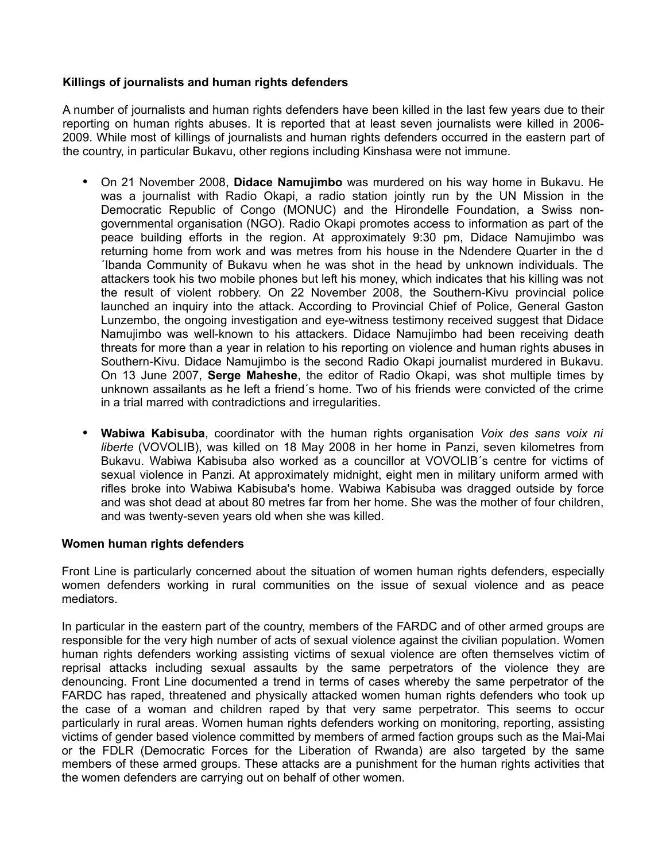## **Killings of journalists and human rights defenders**

A number of journalists and human rights defenders have been killed in the last few years due to their reporting on human rights abuses. It is reported that at least seven journalists were killed in 2006- 2009. While most of killings of journalists and human rights defenders occurred in the eastern part of the country, in particular Bukavu, other regions including Kinshasa were not immune.

- On 21 November 2008, **Didace Namujimbo** was murdered on his way home in Bukavu. He was a journalist with Radio Okapi, a radio station jointly run by the UN Mission in the Democratic Republic of Congo (MONUC) and the Hirondelle Foundation, a Swiss nongovernmental organisation (NGO). Radio Okapi promotes access to information as part of the peace building efforts in the region. At approximately 9:30 pm, Didace Namujimbo was returning home from work and was metres from his house in the Ndendere Quarter in the d ´Ibanda Community of Bukavu when he was shot in the head by unknown individuals. The attackers took his two mobile phones but left his money, which indicates that his killing was not the result of violent robbery. On 22 November 2008, the Southern-Kivu provincial police launched an inquiry into the attack. According to Provincial Chief of Police, General Gaston Lunzembo, the ongoing investigation and eye-witness testimony received suggest that Didace Namujimbo was well-known to his attackers. Didace Namujimbo had been receiving death threats for more than a year in relation to his reporting on violence and human rights abuses in Southern-Kivu. Didace Namujimbo is the second Radio Okapi journalist murdered in Bukavu. On 13 June 2007, **Serge Maheshe**, the editor of Radio Okapi, was shot multiple times by unknown assailants as he left a friend´s home. Two of his friends were convicted of the crime in a trial marred with contradictions and irregularities.
- **Wabiwa Kabisuba**, coordinator with the human rights organisation *Voix des sans voix ni liberte* (VOVOLIB), was killed on 18 May 2008 in her home in Panzi, seven kilometres from Bukavu. Wabiwa Kabisuba also worked as a councillor at VOVOLIB´s centre for victims of sexual violence in Panzi. At approximately midnight, eight men in military uniform armed with rifles broke into Wabiwa Kabisuba's home. Wabiwa Kabisuba was dragged outside by force and was shot dead at about 80 metres far from her home. She was the mother of four children, and was twenty-seven years old when she was killed.

### **Women human rights defenders**

Front Line is particularly concerned about the situation of women human rights defenders, especially women defenders working in rural communities on the issue of sexual violence and as peace mediators.

In particular in the eastern part of the country, members of the FARDC and of other armed groups are responsible for the very high number of acts of sexual violence against the civilian population. Women human rights defenders working assisting victims of sexual violence are often themselves victim of reprisal attacks including sexual assaults by the same perpetrators of the violence they are denouncing. Front Line documented a trend in terms of cases whereby the same perpetrator of the FARDC has raped, threatened and physically attacked women human rights defenders who took up the case of a woman and children raped by that very same perpetrator. This seems to occur particularly in rural areas. Women human rights defenders working on monitoring, reporting, assisting victims of gender based violence committed by members of armed faction groups such as the Mai-Mai or the FDLR (Democratic Forces for the Liberation of Rwanda) are also targeted by the same members of these armed groups. These attacks are a punishment for the human rights activities that the women defenders are carrying out on behalf of other women.